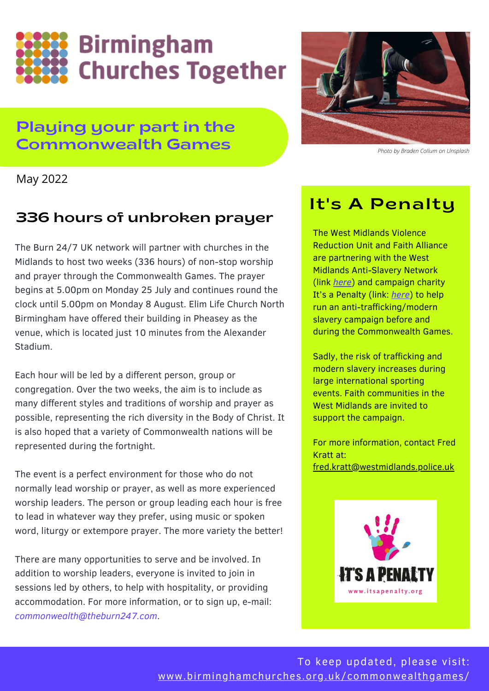

### Playing your part in the Commonwealth Games



*Photo by Braden Collum on Unsplash*

May 2022

### 336 hours of unbroken prayer

The Burn 24/7 UK network will partner with churches in the Midlands to host two weeks (336 hours) of non-stop worship and prayer through the Commonwealth Games. The prayer begins at 5.00pm on Monday 25 July and continues round the clock until 5.00pm on Monday 8 August. Elim Life Church North Birmingham have offered their building in Pheasey as the venue, which is located just 10 minutes from the Alexander Stadium.

Each hour will be led by a different person, group or congregation. Over the two weeks, the aim is to include as many different styles and traditions of worship and prayer as possible, representing the rich diversity in the Body of Christ. It is also hoped that a variety of Commonwealth nations will be represented during the fortnight.

The event is a perfect environment for those who do not normally lead worship or prayer, as well as more experienced worship leaders. The person or group leading each hour is free to lead in whatever way they prefer, using music or spoken word, liturgy or extempore prayer. The more variety the better!

There are many opportunities to serve and be involved. In addition to worship leaders, everyone is invited to join in sessions led by others, to help with hospitality, or providing accommodation. For more information, or to sign up, e-mail: *commonwealth@theburn247.com*.

## It's A Penalty

The West Midlands Violence Reduction Unit and Faith Alliance are partnering with the West Midlands Anti-Slavery Network (link *[here](https://westmidlandsantislavery.org/)*) and campaign charity It's a Penalty (link: *[here](https://itsapenalty.org/)*) to help run an anti-trafficking/modern slavery campaign before and during the Commonwealth Games.

Sadly, the risk of trafficking and modern slavery increases during large international sporting events. Faith communities in the West Midlands are invited to support the campaign.

For more information, contact Fred Kratt at: [fred.kratt@westmidlands.police.uk](mailto:fred.kratt@westmidlands.police.uk)